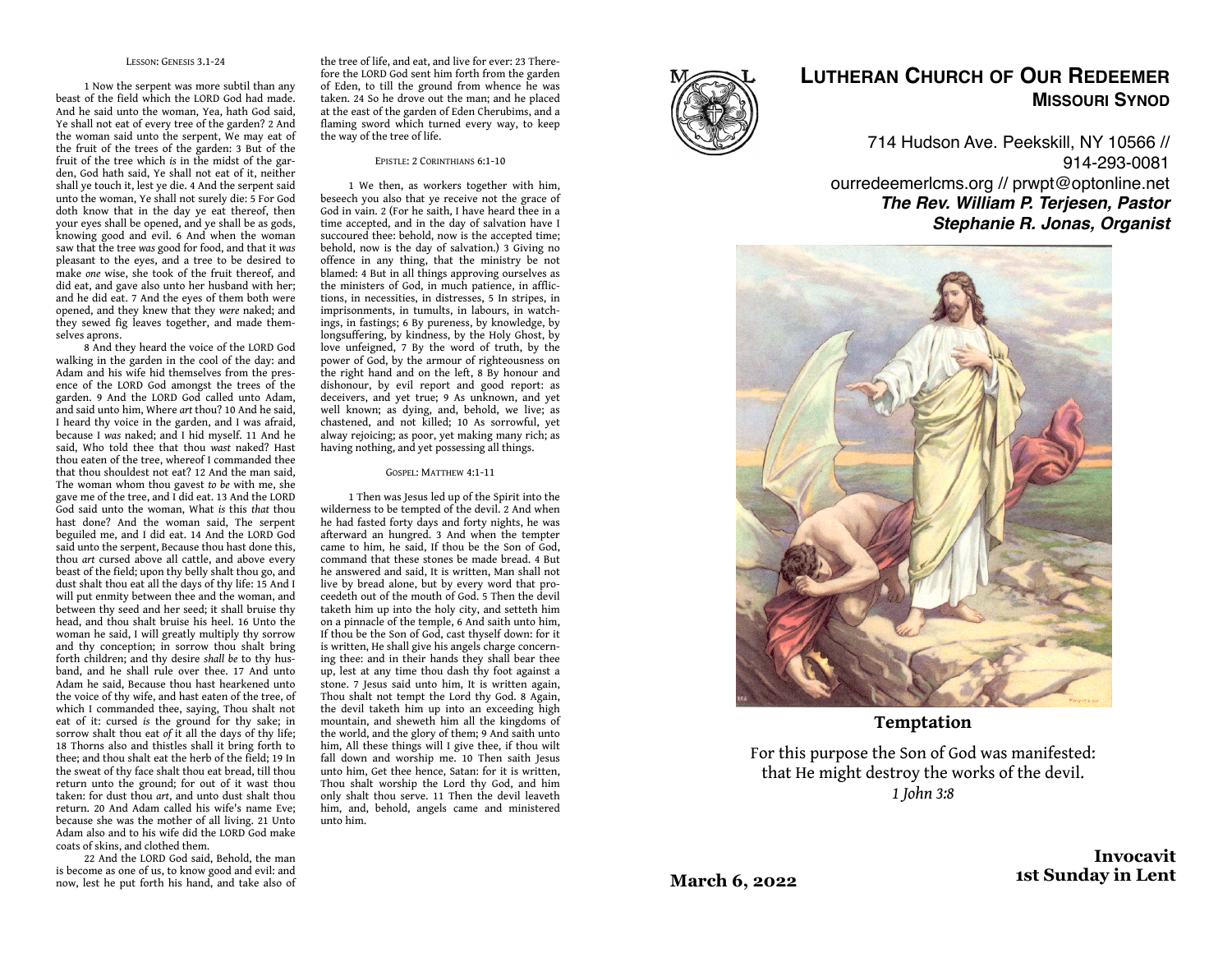### LESSON: GENESIS 3.1-24

1 Now the serpent was more subtil than any beast of the field which the LORD God had made. And he said unto the woman, Yea, hath God said, Ye shall not eat of every tree of the garden? 2 And the woman said unto the serpent, We may eat of the fruit of the trees of the garden: 3 But of the fruit of the tree which *is* in the midst of the garden, God hath said, Ye shall not eat of it, neither shall ye touch it, lest ye die. 4 And the serpent said unto the woman, Ye shall not surely die: 5 For God doth know that in the day ye eat thereof, then your eyes shall be opened, and ye shall be as gods, knowing good and evil. 6 And when the woman saw that the tree *was* good for food, and that it *was*  pleasant to the eyes, and a tree to be desired to make *one* wise, she took of the fruit thereof, and did eat, and gave also unto her husband with her; and he did eat. 7 And the eyes of them both were opened, and they knew that they *were* naked; and they sewed fig leaves together, and made themselves aprons.

8 And they heard the voice of the LORD God walking in the garden in the cool of the day: and Adam and his wife hid themselves from the presence of the LORD God amongst the trees of the garden. 9 And the LORD God called unto Adam, and said unto him, Where *art* thou? 10 And he said, I heard thy voice in the garden, and I was afraid, because I *was* naked; and I hid myself. 11 And he said, Who told thee that thou *wast* naked? Hast thou eaten of the tree, whereof I commanded thee that thou shouldest not eat? 12 And the man said, The woman whom thou gavest *to be* with me, she gave me of the tree, and I did eat. 13 And the LORD God said unto the woman, What *is* this *that* thou hast done? And the woman said, The serpent beguiled me, and I did eat. 14 And the LORD God said unto the serpent, Because thou hast done this, thou *art* cursed above all cattle, and above every beast of the field; upon thy belly shalt thou go, and dust shalt thou eat all the days of thy life: 15 And I will put enmity between thee and the woman, and between thy seed and her seed; it shall bruise thy head, and thou shalt bruise his heel. 16 Unto the woman he said, I will greatly multiply thy sorrow and thy conception; in sorrow thou shalt bring forth children; and thy desire *shall be* to thy husband, and he shall rule over thee. 17 And unto Adam he said, Because thou hast hearkened unto the voice of thy wife, and hast eaten of the tree, of which I commanded thee, saying, Thou shalt not eat of it: cursed *is* the ground for thy sake; in sorrow shalt thou eat *of* it all the days of thy life; 18 Thorns also and thistles shall it bring forth to thee; and thou shalt eat the herb of the field; 19 In the sweat of thy face shalt thou eat bread, till thou return unto the ground; for out of it wast thou taken: for dust thou *art*, and unto dust shalt thou return. 20 And Adam called his wife's name Eve; because she was the mother of all living. 21 Unto Adam also and to his wife did the LORD God make coats of skins, and clothed them.

22 And the LORD God said, Behold, the man is become as one of us, to know good and evil: and now, lest he put forth his hand, and take also of

the tree of life, and eat, and live for ever: 23 Therefore the LORD God sent him forth from the garden of Eden, to till the ground from whence he was taken. 24 So he drove out the man; and he placed at the east of the garden of Eden Cherubims, and a flaming sword which turned every way, to keep the way of the tree of life.

### EPISTLE: 2 CORINTHIANS 6:1-10

1 We then, as workers together with him, beseech you also that ye receive not the grace of God in vain. 2 (For he saith, I have heard thee in a time accepted, and in the day of salvation have I succoured thee: behold, now is the accepted time; behold, now is the day of salvation.) 3 Giving no offence in any thing, that the ministry be not blamed: 4 But in all things approving ourselves as the ministers of God, in much patience, in afflictions, in necessities, in distresses, 5 In stripes, in imprisonments, in tumults, in labours, in watchings, in fastings; 6 By pureness, by knowledge, by longsuffering, by kindness, by the Holy Ghost, by love unfeigned, 7 By the word of truth, by the power of God, by the armour of righteousness on the right hand and on the left, 8 By honour and dishonour, by evil report and good report: as deceivers, and yet true; 9 As unknown, and yet well known; as dying, and, behold, we live; as chastened, and not killed; 10 As sorrowful, yet alway rejoicing; as poor, yet making many rich; as having nothing, and yet possessing all things.

#### GOSPEL: MATTHEW 4:1-11

1 Then was Jesus led up of the Spirit into the wilderness to be tempted of the devil. 2 And when he had fasted forty days and forty nights, he was afterward an hungred. 3 And when the tempter came to him, he said, If thou be the Son of God, command that these stones be made bread. 4 But he answered and said, It is written, Man shall not live by bread alone, but by every word that proceedeth out of the mouth of God. 5 Then the devil taketh him up into the holy city, and setteth him on a pinnacle of the temple, 6 And saith unto him, If thou be the Son of God, cast thyself down: for it is written, He shall give his angels charge concerning thee: and in their hands they shall bear thee up, lest at any time thou dash thy foot against a stone. 7 Jesus said unto him, It is written again, Thou shalt not tempt the Lord thy God. 8 Again, the devil taketh him up into an exceeding high mountain, and sheweth him all the kingdoms of the world, and the glory of them; 9 And saith unto him, All these things will I give thee, if thou wilt fall down and worship me. 10 Then saith Jesus unto him, Get thee hence, Satan: for it is written, Thou shalt worship the Lord thy God, and him only shalt thou serve. 11 Then the devil leaveth him, and, behold, angels came and ministered unto him.



# **LUTHERAN CHURCH OF OUR REDEEMER MISSOURI SYNOD**

714 Hudson Ave. Peekskill, NY 10566 // 914-293-0081 ourredeemerlcms.org // prwpt@optonline.net *The Rev. William P. Terjesen, Pastor Stephanie R. Jonas, Organist*



**Temptation**

For this purpose the Son of God was manifested: that He might destroy the works of the devil. *1 John 3:8*